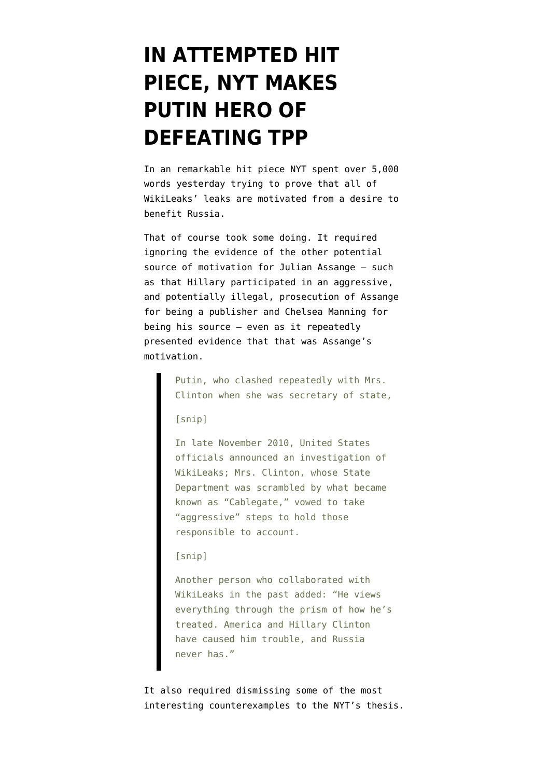## **[IN ATTEMPTED HIT](https://www.emptywheel.net/2016/09/01/in-attempted-hit-piece-nyt-makes-putin-hero-of-defeating-tpp/) [PIECE, NYT MAKES](https://www.emptywheel.net/2016/09/01/in-attempted-hit-piece-nyt-makes-putin-hero-of-defeating-tpp/) [PUTIN HERO OF](https://www.emptywheel.net/2016/09/01/in-attempted-hit-piece-nyt-makes-putin-hero-of-defeating-tpp/) [DEFEATING TPP](https://www.emptywheel.net/2016/09/01/in-attempted-hit-piece-nyt-makes-putin-hero-of-defeating-tpp/)**

In an remarkable hit piece [NYT spent over 5,000](http://www.nytimes.com/2016/09/01/world/europe/wikileaks-julian-assange-russia.html?_r=0) [words](http://www.nytimes.com/2016/09/01/world/europe/wikileaks-julian-assange-russia.html?_r=0) yesterday trying to prove that all of WikiLeaks' leaks are motivated from a desire to benefit Russia.

That of course took some doing. It required ignoring the evidence of the [other potential](https://www.emptywheel.net/2016/07/26/the-other-factor/) [source of motivation](https://www.emptywheel.net/2016/07/26/the-other-factor/) for Julian Assange — such as that Hillary participated in an aggressive, and potentially illegal, prosecution of Assange for being a publisher and Chelsea Manning for being his source — even as it repeatedly presented evidence that that was Assange's motivation.

> Putin, who clashed repeatedly with Mrs. Clinton when she was secretary of state,

[snip]

In late November 2010, United States officials announced an investigation of WikiLeaks; Mrs. Clinton, whose State Department was scrambled by what became known as "Cablegate," vowed to take "aggressive" steps to hold those responsible to account.

## [snip]

Another person who collaborated with WikiLeaks in the past added: "He views everything through the prism of how he's treated. America and Hillary Clinton have caused him trouble, and Russia never has."

It also required dismissing some of the most interesting counterexamples to the NYT's thesis.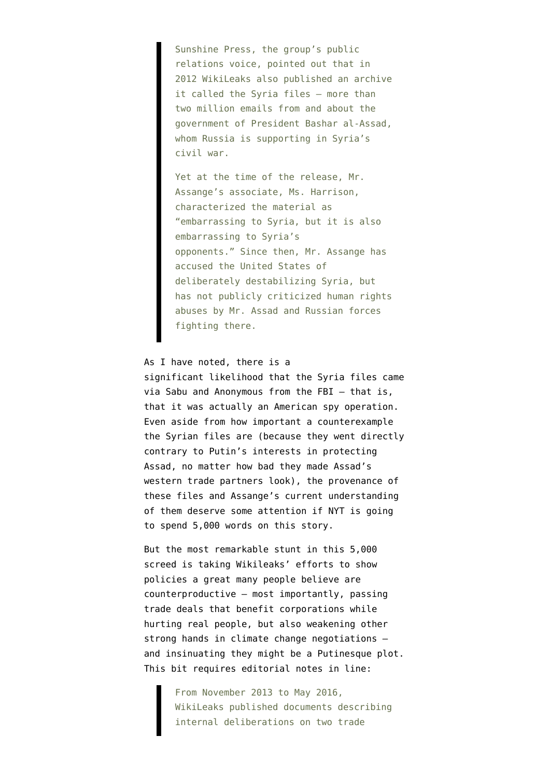Sunshine Press, the group's public relations voice, pointed out that in 2012 WikiLeaks also published an archive it called the Syria files — more than two million emails from and about the government of President Bashar al-Assad, whom Russia is supporting in Syria's civil war.

Yet at the time of the release, Mr. Assange's associate, Ms. Harrison, characterized the material as "embarrassing to Syria, but it is also embarrassing to Syria's opponents." Since then, Mr. Assange has accused the United States of deliberately destabilizing Syria, but has not publicly criticized human rights abuses by Mr. Assad and Russian forces fighting there.

As I have [noted,](https://www.emptywheel.net/2016/07/31/did-wikileaks-do-us-intelligence-bidding-in-publishing-the-syria-files/) there is a significant likelihood that the Syria files came via Sabu and Anonymous from the FBI — that is, that it was actually an American spy operation. Even aside from how important a counterexample the Syrian files are (because they went directly contrary to Putin's interests in protecting Assad, no matter how bad they made Assad's western trade partners look), the provenance of these files and Assange's current understanding of them deserve some attention if NYT is going to spend 5,000 words on this story.

But the most remarkable stunt in this 5,000 screed is taking Wikileaks' efforts to show policies a great many people believe are counterproductive — most importantly, passing trade deals that benefit corporations while hurting real people, but also weakening other strong hands in climate change negotiations and insinuating they might be a Putinesque plot. This bit requires editorial notes in line:

> From November 2013 to May 2016, WikiLeaks published documents describing internal deliberations on two trade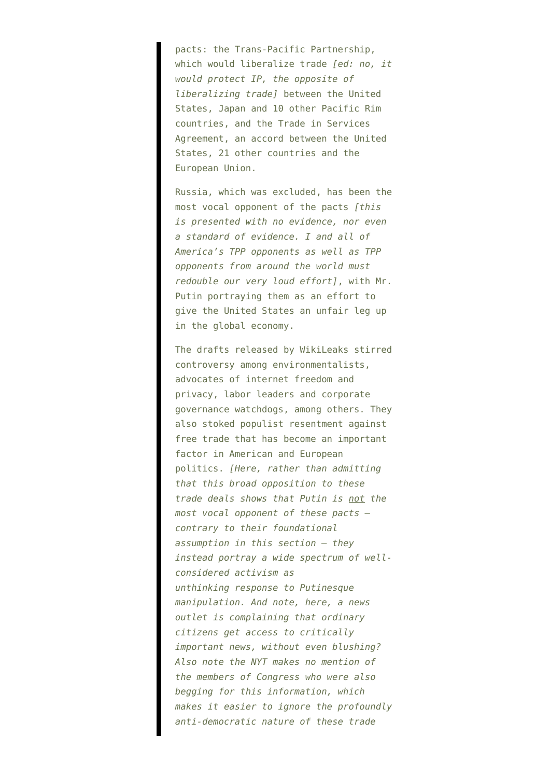pacts: the Trans-Pacific Partnership, which would liberalize trade *[ed: no, it would protect IP, the opposite of liberalizing trade]* between the United States, Japan and 10 other Pacific Rim countries, and the Trade in Services Agreement, an accord between the United States, 21 other countries and the European Union.

Russia, which was excluded, has been the most vocal opponent of the pacts *[this is presented with no evidence, nor even a standard of evidence. I and all of America's TPP opponents as well as TPP opponents from around the world must redouble our very loud effort]*, with Mr. Putin portraying them as an effort to give the United States an unfair leg up in the global economy.

The drafts released by WikiLeaks stirred controversy among environmentalists, advocates of internet freedom and privacy, labor leaders and corporate governance watchdogs, among others. They also stoked populist resentment against free trade that has become an important factor in American and European politics. *[Here, rather than admitting that this broad opposition to these trade deals shows that Putin is not the most vocal opponent of these pacts contrary to their foundational assumption in this section — they instead portray a wide spectrum of wellconsidered activism as unthinking response to Putinesque manipulation. And note, here, a news outlet is complaining that ordinary citizens get access to critically important news, without even blushing? Also note the NYT makes no mention of the members of Congress who were also begging for this information, which makes it easier to ignore the profoundly anti-democratic nature of these trade*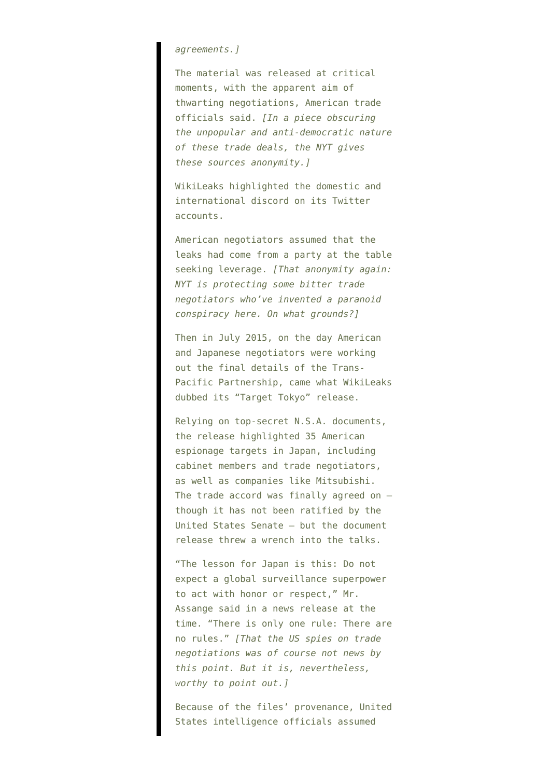## *agreements.]*

The material was released at critical moments, with the apparent aim of thwarting negotiations, American trade officials said. *[In a piece obscuring the unpopular and anti-democratic nature of these trade deals, the NYT gives these sources anonymity.]*

WikiLeaks highlighted the domestic and international discord on its Twitter accounts.

American negotiators assumed that the leaks had come from a party at the table seeking leverage. *[That anonymity again: NYT is protecting some bitter trade negotiators who've invented a paranoid conspiracy here. On what grounds?]*

Then in July 2015, on the day American and Japanese negotiators were working out the final details of the Trans-Pacific Partnership, came what WikiLeaks dubbed its "Target Tokyo" release.

Relying on top-secret N.S.A. documents, the release highlighted 35 American espionage targets in Japan, including cabinet members and trade negotiators, as well as companies like Mitsubishi. The trade accord was finally agreed on  $$ though it has not been ratified by the United States Senate — but the document release threw a wrench into the talks.

"The lesson for Japan is this: Do not expect a global surveillance superpower to act with honor or respect," Mr. Assange said in a news release at the time. "There is only one rule: There are no rules." *[That the US spies on trade negotiations was of course not news by this point. But it is, nevertheless, worthy to point out.]*

Because of the files' provenance, United States intelligence officials assumed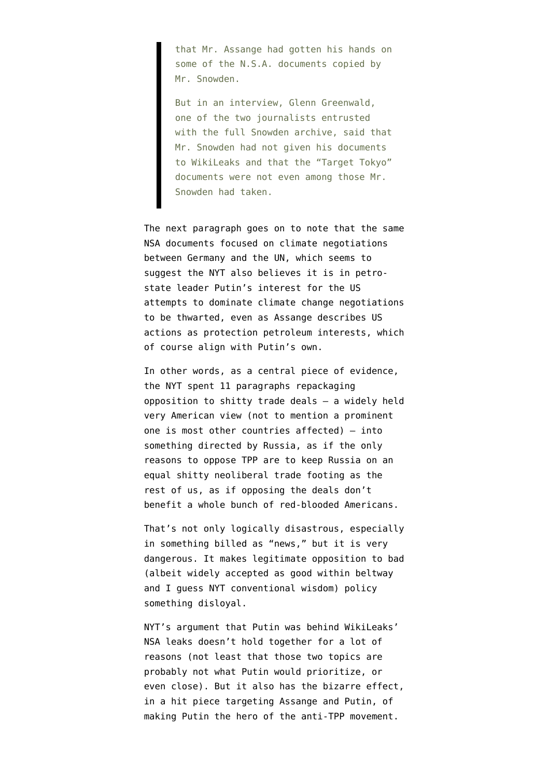that Mr. Assange had gotten his hands on some of the N.S.A. documents copied by Mr. Snowden.

But in an interview, Glenn Greenwald, one of the two journalists entrusted with the full Snowden archive, said that Mr. Snowden had not given his documents to WikiLeaks and that the "Target Tokyo" documents were not even among those Mr. Snowden had taken.

The next paragraph goes on to note that the same NSA documents focused on climate negotiations between Germany and the UN, which seems to suggest the NYT also believes it is in petrostate leader Putin's interest for the US attempts to dominate climate change negotiations to be thwarted, even as Assange describes US actions as protection petroleum interests, which of course align with Putin's own.

In other words, as a central piece of evidence, the NYT spent 11 paragraphs repackaging opposition to shitty trade deals — a widely held very American view (not to mention a prominent one is most other countries affected) — into something directed by Russia, as if the only reasons to oppose TPP are to keep Russia on an equal shitty neoliberal trade footing as the rest of us, as if opposing the deals don't benefit a whole bunch of red-blooded Americans.

That's not only logically disastrous, especially in something billed as "news," but it is very dangerous. It makes legitimate opposition to bad (albeit widely accepted as good within beltway and I guess NYT conventional wisdom) policy something disloyal.

NYT's argument that Putin was behind WikiLeaks' NSA leaks doesn't hold together for a lot of reasons (not least that those two topics are probably not what Putin would prioritize, or even close). But it also has the bizarre effect, in a hit piece targeting Assange and Putin, of making Putin the hero of the anti-TPP movement.